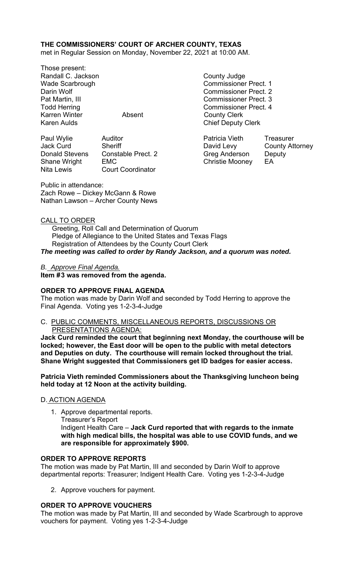## **THE COMMISSIONERS' COURT OF ARCHER COUNTY, TEXAS**

met in Regular Session on Monday, November 22, 2021 at 10:00 AM.

Those present: Randall C. Jackson County Judge Karren Winter **Absent** County Clerk

Paul Wylie Auditor Patricia Vieth Treasurer Jack Curd Sheriff **David Levy** County Attorney Donald Stevens Constable Prect. 2 Greg Anderson Deputy Shane Wright EMC **EMC** Christie Mooney EA Nita Lewis Court Coordinator

Wade Scarbrough Commissioner Prect. 1 Darin Wolf Commissioner Prect. 2 Pat Martin, III Commissioner Prect. 3 Todd Herring **Commissioner Prect.** 4 Karen Aulds **Chief Deputy Clerk** 

Public in attendance: Zach Rowe – Dickey McGann & Rowe Nathan Lawson – Archer County News

### CALL TO ORDER

 Greeting, Roll Call and Determination of Quorum Pledge of Allegiance to the United States and Texas Flags Registration of Attendees by the County Court Clerk *The meeting was called to order by Randy Jackson, and a quorum was noted.* 

#### *B. Approve Final Agenda.*

Item #3 was removed from the agenda.

## **ORDER TO APPROVE FINAL AGENDA**

The motion was made by Darin Wolf and seconded by Todd Herring to approve the Final Agenda. Voting yes 1-2-3-4-Judge

#### C. PUBLIC COMMENTS, MISCELLANEOUS REPORTS, DISCUSSIONS OR PRESENTATIONS AGENDA:

**Jack Curd reminded the court that beginning next Monday, the courthouse will be locked; however, the East door will be open to the public with metal detectors and Deputies on duty. The courthouse will remain locked throughout the trial. Shane Wright suggested that Commissioners get ID badges for easier access.** 

**Patricia Vieth reminded Commissioners about the Thanksgiving luncheon being held today at 12 Noon at the activity building.** 

#### D. ACTION AGENDA

1. Approve departmental reports. Treasurer's Report Indigent Health Care – **Jack Curd reported that with regards to the inmate with high medical bills, the hospital was able to use COVID funds, and we are responsible for approximately \$900.**

#### **ORDER TO APPROVE REPORTS**

The motion was made by Pat Martin, III and seconded by Darin Wolf to approve departmental reports: Treasurer; Indigent Health Care. Voting yes 1-2-3-4-Judge

2. Approve vouchers for payment.

## **ORDER TO APPROVE VOUCHERS**

The motion was made by Pat Martin, III and seconded by Wade Scarbrough to approve vouchers for payment. Voting yes 1-2-3-4-Judge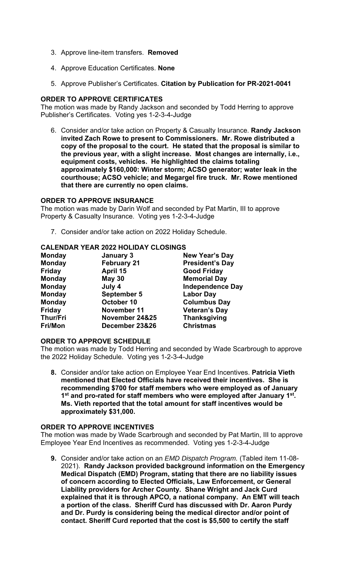- 3. Approve line-item transfers. **Removed**
- 4. Approve Education Certificates. **None**
- 5. Approve Publisher's Certificates. **Citation by Publication for PR-2021-0041**

## **ORDER TO APPROVE CERTIFICATES**

The motion was made by Randy Jackson and seconded by Todd Herring to approve Publisher's Certificates. Voting yes 1-2-3-4-Judge

6. Consider and/or take action on Property & Casualty Insurance. **Randy Jackson invited Zach Rowe to present to Commissioners. Mr. Rowe distributed a copy of the proposal to the court. He stated that the proposal is similar to the previous year, with a slight increase. Most changes are internally, i.e., equipment costs, vehicles. He highlighted the claims totaling approximately \$160,000: Winter storm; ACSO generator; water leak in the courthouse; ACSO vehicle; and Megargel fire truck. Mr. Rowe mentioned that there are currently no open claims.**

#### **ORDER TO APPROVE INSURANCE**

The motion was made by Darin Wolf and seconded by Pat Martin, III to approve Property & Casualty Insurance. Voting yes 1-2-3-4-Judge

7. Consider and/or take action on 2022 Holiday Schedule.

### **CALENDAR YEAR 2022 HOLIDAY CLOSINGS**

| <b>Monday</b>   | January 3          | <b>New Year's Day</b>   |
|-----------------|--------------------|-------------------------|
| <b>Monday</b>   | <b>February 21</b> | <b>President's Day</b>  |
| <b>Friday</b>   | April 15           | <b>Good Friday</b>      |
| <b>Monday</b>   | <b>May 30</b>      | <b>Memorial Day</b>     |
| <b>Monday</b>   | July 4             | <b>Independence Day</b> |
| <b>Monday</b>   | <b>September 5</b> | <b>Labor Day</b>        |
| <b>Monday</b>   | October 10         | <b>Columbus Day</b>     |
| <b>Friday</b>   | November 11        | <b>Veteran's Day</b>    |
| <b>Thur/Fri</b> | November 24&25     | <b>Thanksgiving</b>     |
| <b>Fri/Mon</b>  | December 23&26     | <b>Christmas</b>        |

#### **ORDER TO APPROVE SCHEDULE**

The motion was made by Todd Herring and seconded by Wade Scarbrough to approve the 2022 Holiday Schedule. Voting yes 1-2-3-4-Judge

**8.** Consider and/or take action on Employee Year End Incentives. **Patricia Vieth mentioned that Elected Officials have received their incentives. She is recommending \$700 for staff members who were employed as of January 1st and pro-rated for staff members who were employed after January 1st. Ms. Vieth reported that the total amount for staff incentives would be approximately \$31,000.** 

#### **ORDER TO APPROVE INCENTIVES**

The motion was made by Wade Scarbrough and seconded by Pat Martin, III to approve Employee Year End Incentives as recommended. Voting yes 1-2-3-4-Judge

**9.** Consider and/or take action on an *EMD Dispatch Program.* (Tabled item 11-08- 2021). **Randy Jackson provided background information on the Emergency Medical Dispatch (EMD) Program, stating that there are no liability issues of concern according to Elected Officials, Law Enforcement, or General Liability providers for Archer County. Shane Wright and Jack Curd explained that it is through APCO, a national company. An EMT will teach a portion of the class. Sheriff Curd has discussed with Dr. Aaron Purdy and Dr. Purdy is considering being the medical director and/or point of contact. Sheriff Curd reported that the cost is \$5,500 to certify the staff**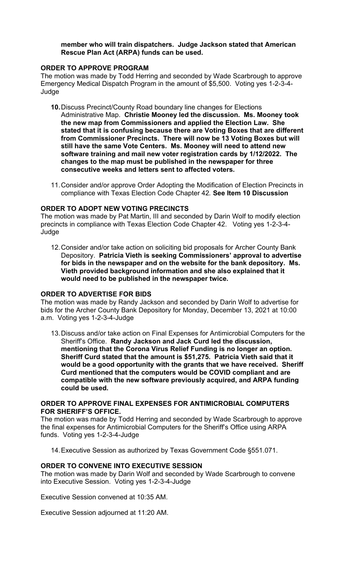#### **member who will train dispatchers. Judge Jackson stated that American Rescue Plan Act (ARPA) funds can be used.**

### **ORDER TO APPROVE PROGRAM**

The motion was made by Todd Herring and seconded by Wade Scarbrough to approve Emergency Medical Dispatch Program in the amount of \$5,500. Voting yes 1-2-3-4- Judge

- **10.** Discuss Precinct/County Road boundary line changes for Elections Administrative Map. **Christie Mooney led the discussion. Ms. Mooney took the new map from Commissioners and applied the Election Law. She stated that it is confusing because there are Voting Boxes that are different from Commissioner Precincts. There will now be 13 Voting Boxes but will still have the same Vote Centers. Ms. Mooney will need to attend new software training and mail new voter registration cards by 1/12/2022. The changes to the map must be published in the newspaper for three consecutive weeks and letters sent to affected voters.**
- 11. Consider and/or approve Order Adopting the Modification of Election Precincts in compliance with Texas Election Code Chapter 42*.* **See Item 10 Discussion**

### **ORDER TO ADOPT NEW VOTING PRECINCTS**

The motion was made by Pat Martin, III and seconded by Darin Wolf to modify election precincts in compliance with Texas Election Code Chapter 42. Voting yes 1-2-3-4- Judge

12. Consider and/or take action on soliciting bid proposals for Archer County Bank Depository. **Patricia Vieth is seeking Commissioners' approval to advertise for bids in the newspaper and on the website for the bank depository. Ms. Vieth provided background information and she also explained that it would need to be published in the newspaper twice.**

## **ORDER TO ADVERTISE FOR BIDS**

The motion was made by Randy Jackson and seconded by Darin Wolf to advertise for bids for the Archer County Bank Depository for Monday, December 13, 2021 at 10:00 a.m. Voting yes 1-2-3-4-Judge

13. Discuss and/or take action on Final Expenses for Antimicrobial Computers for the Sheriff's Office. **Randy Jackson and Jack Curd led the discussion, mentioning that the Corona Virus Relief Funding is no longer an option. Sheriff Curd stated that the amount is \$51,275. Patricia Vieth said that it would be a good opportunity with the grants that we have received. Sheriff Curd mentioned that the computers would be COVID compliant and are compatible with the new software previously acquired, and ARPA funding could be used.**

## **ORDER TO APPROVE FINAL EXPENSES FOR ANTIMICROBIAL COMPUTERS FOR SHERIFF'S OFFICE.**

The motion was made by Todd Herring and seconded by Wade Scarbrough to approve the final expenses for Antimicrobial Computers for the Sheriff's Office using ARPA funds. Voting yes 1-2-3-4-Judge

14. Executive Session as authorized by Texas Government Code §551.071.

#### **ORDER TO CONVENE INTO EXECUTIVE SESSION**

The motion was made by Darin Wolf and seconded by Wade Scarbrough to convene into Executive Session. Voting yes 1-2-3-4-Judge

Executive Session convened at 10:35 AM.

Executive Session adjourned at 11:20 AM.